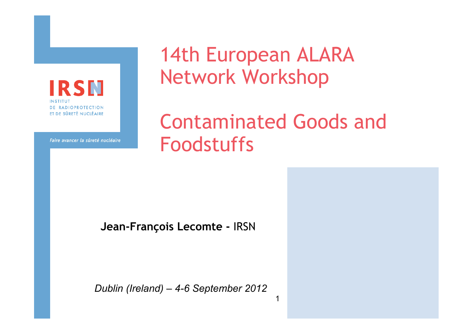**IRSN** INSTITU **DE RADIOPROTECTION** ET DE SÛRETÉ NUCLÉAIRE

14th European ALARA Network Workshop

Contaminated Goods and Foodstuffs

1

Faire avancer la sûreté nucléaire

**Jean-François Lecomte -** IRSN

*Dublin (Ireland) – 4-6 September 2012*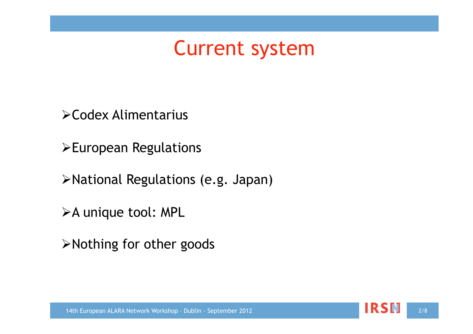#### Current system

Codex Alimentarius

European Regulations

National Regulations (e.g. Japan)

>A unique tool: MPL

Nothing for other goods

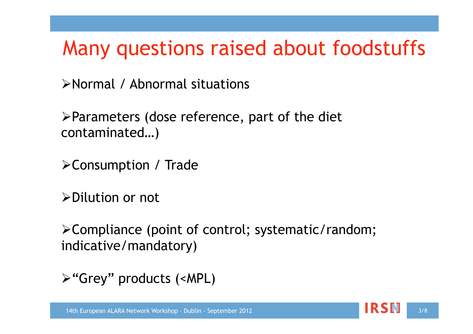### Many questions raised about foodstuffs

Normal / Abnormal situations

 $\triangleright$  Parameters (dose reference, part of the diet contaminated…)

Consumption / Trade

Dilution or not

Compliance (point of control; systematic/random; indicative/mandatory)

"Grey" products (<MPL)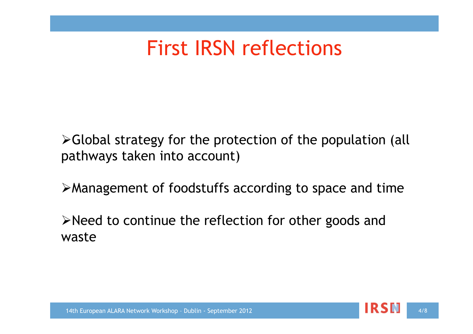### First IRSN reflections

Global strategy for the protection of the population (all pathways taken into account)

Management of foodstuffs according to space and time

Need to continue the reflection for other goods and waste



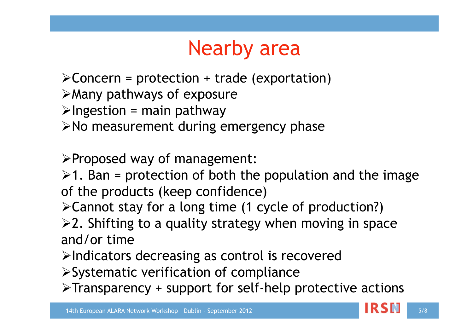## Nearby area

- $\triangle$ Concern = protection + trade (exportation)
- Many pathways of exposure
- $\triangleright$ Ingestion = main pathway
- $\triangleright$  No measurement during emergency phase
- Proposed way of management:
- $\geq 1$ . Ban = protection of both the population and the image of the products (keep confidence)
- Cannot stay for a long time (1 cycle of production?)
- $\geq 2$ . Shifting to a quality strategy when moving in space and/or time
- $\triangleright$ Indicators decreasing as control is recovered
- Systematic verification of compliance
- $\triangleright$ Transparency + support for self-help protective actions

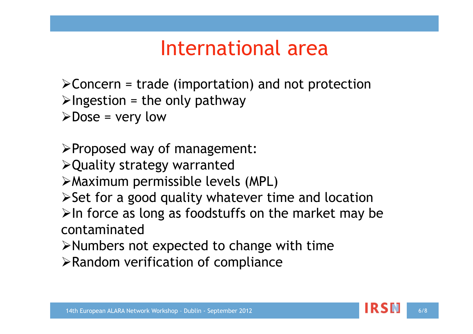### International area

- $\triangle$ Concern = trade (importation) and not protection
- $\triangleright$ Ingestion = the only pathway
- $\triangleright$  Dose = very low
- $\triangleright$  Proposed way of management:
- Quality strategy warranted
- Maximum permissible levels (MPL)
- $\triangleright$  Set for a good quality whatever time and location
- $\triangleright$ In force as long as foodstuffs on the market may be contaminated
- $\triangleright$  Numbers not expected to change with time
- $\triangleright$  Random verification of compliance

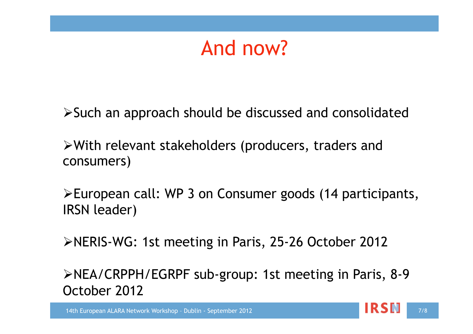### And now?

Such an approach should be discussed and consolidated

With relevant stakeholders (producers, traders and consumers)

European call: WP 3 on Consumer goods (14 participants, IRSN leader)

NERIS-WG: 1st meeting in Paris, 25-26 October 2012

NEA/CRPPH/EGRPF sub-group: 1st meeting in Paris, 8-9 October 2012

14th European ALARA Network Workshop - Dublin - September 2012 **1998 - Page 1999 1999 1999 1999 1999 1999** 1998